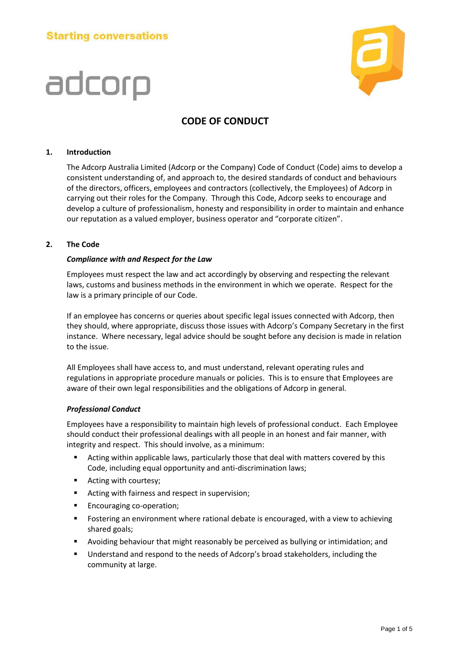# adcorp



### **CODE OF CONDUCT**

#### **1. Introduction**

The Adcorp Australia Limited (Adcorp or the Company) Code of Conduct (Code) aims to develop a consistent understanding of, and approach to, the desired standards of conduct and behaviours of the directors, officers, employees and contractors (collectively, the Employees) of Adcorp in carrying out their roles for the Company. Through this Code, Adcorp seeks to encourage and develop a culture of professionalism, honesty and responsibility in order to maintain and enhance our reputation as a valued employer, business operator and "corporate citizen".

#### **2. The Code**

#### *Compliance with and Respect for the Law*

Employees must respect the law and act accordingly by observing and respecting the relevant laws, customs and business methods in the environment in which we operate. Respect for the law is a primary principle of our Code.

If an employee has concerns or queries about specific legal issues connected with Adcorp, then they should, where appropriate, discuss those issues with Adcorp's Company Secretary in the first instance. Where necessary, legal advice should be sought before any decision is made in relation to the issue.

All Employees shall have access to, and must understand, relevant operating rules and regulations in appropriate procedure manuals or policies. This is to ensure that Employees are aware of their own legal responsibilities and the obligations of Adcorp in general.

#### *Professional Conduct*

Employees have a responsibility to maintain high levels of professional conduct. Each Employee should conduct their professional dealings with all people in an honest and fair manner, with integrity and respect. This should involve, as a minimum:

- Acting within applicable laws, particularly those that deal with matters covered by this Code, including equal opportunity and anti-discrimination laws;
- Acting with courtesy;
- **Acting with fairness and respect in supervision;**
- Encouraging co-operation;
- **F** Fostering an environment where rational debate is encouraged, with a view to achieving shared goals;
- Avoiding behaviour that might reasonably be perceived as bullying or intimidation; and
- Understand and respond to the needs of Adcorp's broad stakeholders, including the community at large.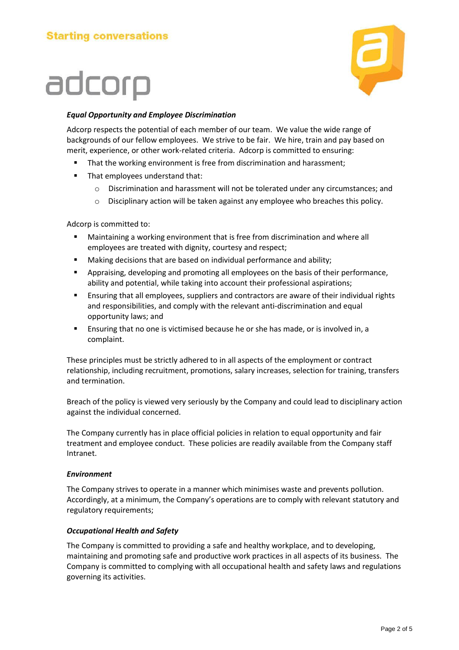### adcorp



#### *Equal Opportunity and Employee Discrimination*

Adcorp respects the potential of each member of our team. We value the wide range of backgrounds of our fellow employees. We strive to be fair. We hire, train and pay based on merit, experience, or other work-related criteria. Adcorp is committed to ensuring:

- That the working environment is free from discrimination and harassment;
- That employees understand that:
	- o Discrimination and harassment will not be tolerated under any circumstances; and
	- o Disciplinary action will be taken against any employee who breaches this policy.

Adcorp is committed to:

- Maintaining a working environment that is free from discrimination and where all employees are treated with dignity, courtesy and respect;
- **Making decisions that are based on individual performance and ability;**
- **Appraising, developing and promoting all employees on the basis of their performance,** ability and potential, while taking into account their professional aspirations;
- Ensuring that all employees, suppliers and contractors are aware of their individual rights and responsibilities, and comply with the relevant anti-discrimination and equal opportunity laws; and
- Ensuring that no one is victimised because he or she has made, or is involved in, a complaint.

These principles must be strictly adhered to in all aspects of the employment or contract relationship, including recruitment, promotions, salary increases, selection for training, transfers and termination.

Breach of the policy is viewed very seriously by the Company and could lead to disciplinary action against the individual concerned.

The Company currently has in place official policies in relation to equal opportunity and fair treatment and employee conduct. These policies are readily available from the Company staff Intranet.

#### *Environment*

The Company strives to operate in a manner which minimises waste and prevents pollution. Accordingly, at a minimum, the Company's operations are to comply with relevant statutory and regulatory requirements;

#### *Occupational Health and Safety*

The Company is committed to providing a safe and healthy workplace, and to developing, maintaining and promoting safe and productive work practices in all aspects of its business. The Company is committed to complying with all occupational health and safety laws and regulations governing its activities.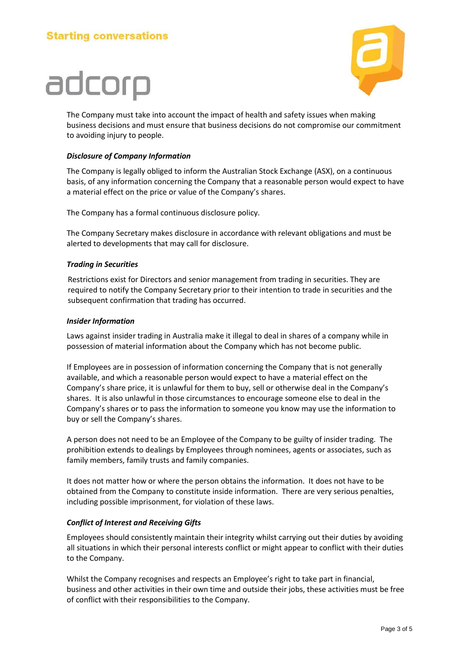



The Company must take into account the impact of health and safety issues when making business decisions and must ensure that business decisions do not compromise our commitment to avoiding injury to people.

#### *Disclosure of Company Information*

The Company is legally obliged to inform the Australian Stock Exchange (ASX), on a continuous basis, of any information concerning the Company that a reasonable person would expect to have a material effect on the price or value of the Company's shares.

The Company has a formal continuous disclosure policy.

The Company Secretary makes disclosure in accordance with relevant obligations and must be alerted to developments that may call for disclosure.

#### *Trading in Securities*

Restrictions exist for Directors and senior management from trading in securities. They are required to notify the Company Secretary prior to their intention to trade in securities and the subsequent confirmation that trading has occurred.

#### *Insider Information*

Laws against insider trading in Australia make it illegal to deal in shares of a company while in possession of material information about the Company which has not become public.

If Employees are in possession of information concerning the Company that is not generally available, and which a reasonable person would expect to have a material effect on the Company's share price, it is unlawful for them to buy, sell or otherwise deal in the Company's shares. It is also unlawful in those circumstances to encourage someone else to deal in the Company's shares or to pass the information to someone you know may use the information to buy or sell the Company's shares.

A person does not need to be an Employee of the Company to be guilty of insider trading. The prohibition extends to dealings by Employees through nominees, agents or associates, such as family members, family trusts and family companies.

It does not matter how or where the person obtains the information. It does not have to be obtained from the Company to constitute inside information. There are very serious penalties, including possible imprisonment, for violation of these laws.

#### *Conflict of Interest and Receiving Gifts*

Employees should consistently maintain their integrity whilst carrying out their duties by avoiding all situations in which their personal interests conflict or might appear to conflict with their duties to the Company.

Whilst the Company recognises and respects an Employee's right to take part in financial, business and other activities in their own time and outside their jobs, these activities must be free of conflict with their responsibilities to the Company.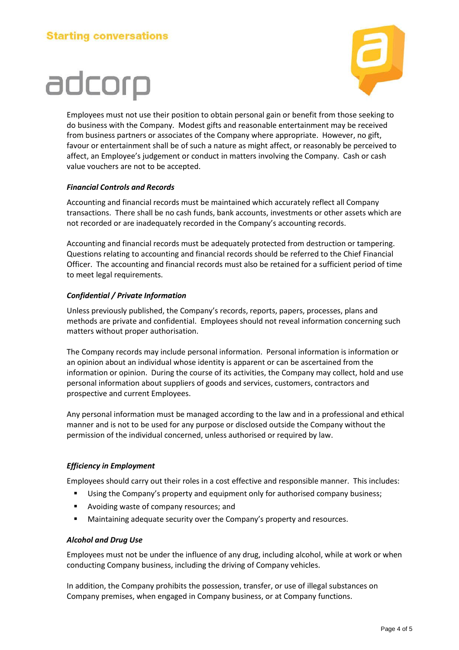## adcorp



Employees must not use their position to obtain personal gain or benefit from those seeking to do business with the Company. Modest gifts and reasonable entertainment may be received from business partners or associates of the Company where appropriate. However, no gift, favour or entertainment shall be of such a nature as might affect, or reasonably be perceived to affect, an Employee's judgement or conduct in matters involving the Company. Cash or cash value vouchers are not to be accepted.

#### *Financial Controls and Records*

Accounting and financial records must be maintained which accurately reflect all Company transactions. There shall be no cash funds, bank accounts, investments or other assets which are not recorded or are inadequately recorded in the Company's accounting records.

Accounting and financial records must be adequately protected from destruction or tampering. Questions relating to accounting and financial records should be referred to the Chief Financial Officer. The accounting and financial records must also be retained for a sufficient period of time to meet legal requirements.

#### *Confidential / Private Information*

Unless previously published, the Company's records, reports, papers, processes, plans and methods are private and confidential. Employees should not reveal information concerning such matters without proper authorisation.

The Company records may include personal information. Personal information is information or an opinion about an individual whose identity is apparent or can be ascertained from the information or opinion. During the course of its activities, the Company may collect, hold and use personal information about suppliers of goods and services, customers, contractors and prospective and current Employees.

Any personal information must be managed according to the law and in a professional and ethical manner and is not to be used for any purpose or disclosed outside the Company without the permission of the individual concerned, unless authorised or required by law.

#### *Efficiency in Employment*

Employees should carry out their roles in a cost effective and responsible manner. This includes:

- Using the Company's property and equipment only for authorised company business;
- **Avoiding waste of company resources; and**
- Maintaining adequate security over the Company's property and resources.

#### *Alcohol and Drug Use*

Employees must not be under the influence of any drug, including alcohol, while at work or when conducting Company business, including the driving of Company vehicles.

In addition, the Company prohibits the possession, transfer, or use of illegal substances on Company premises, when engaged in Company business, or at Company functions.